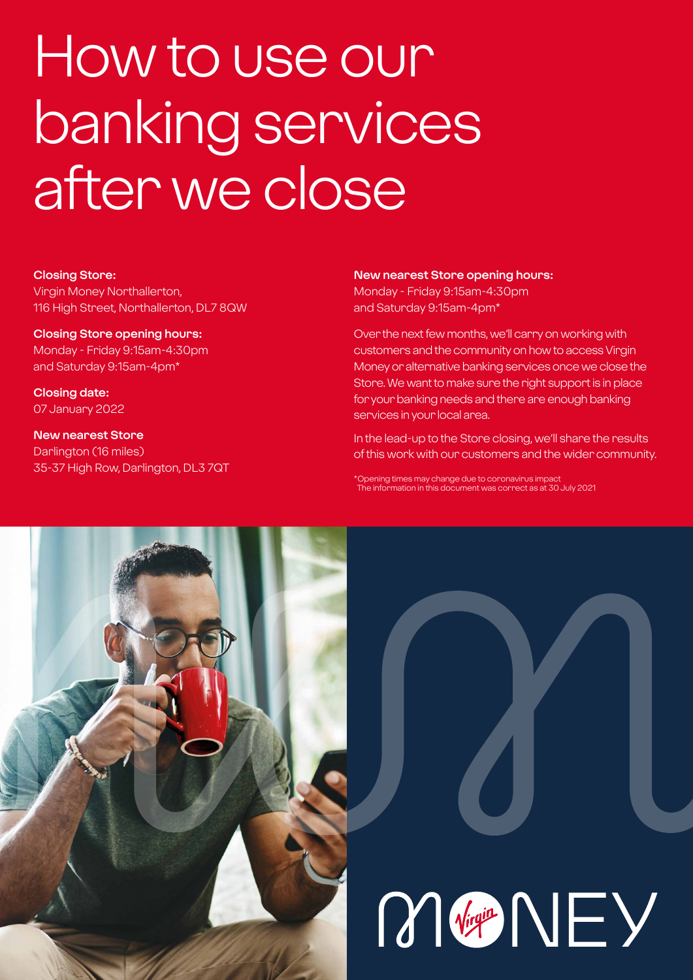# How to use our banking services after we close

#### **Closing Store:**

Virgin Money Northallerton, 116 High Street, Northallerton, DL7 8QW

### **Closing Store opening hours:**

Monday - Friday 9:15am-4:30pm and Saturday 9:15am-4pm\*

**Closing date:**  07 January 2022

**New nearest Store** Darlington (16 miles) 35-37 High Row, Darlington, DL3 7QT

#### **New nearest Store opening hours:**

Monday - Friday 9:15am-4:30pm and Saturday 9:15am-4pm\*

Over the next few months, we'll carry on working with customers and the community on how to access Virgin Money or alternative banking services once we close the Store. We want to make sure the right support is in place for your banking needs and there are enough banking services in your local area.

In the lead-up to the Store closing, we'll share the results of this work with our customers and the wider community.

\*Opening times may change due to coronavirus impact The information in this document was correct as at 30 July 2021

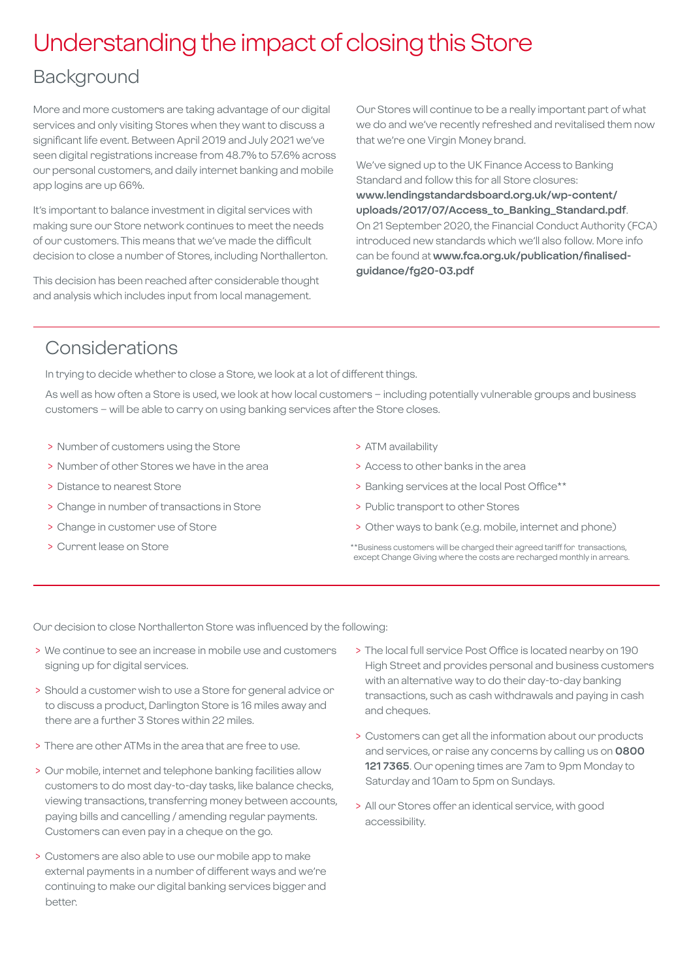# Understanding the impact of closing this Store

### Background

More and more customers are taking advantage of our digital services and only visiting Stores when they want to discuss a significant life event. Between April 2019 and July 2021 we've seen digital registrations increase from 48.7% to 57.6% across our personal customers, and daily internet banking and mobile app logins are up 66%.

It's important to balance investment in digital services with making sure our Store network continues to meet the needs of our customers. This means that we've made the difficult decision to close a number of Stores, including Northallerton.

This decision has been reached after considerable thought and analysis which includes input from local management.

Our Stores will continue to be a really important part of what we do and we've recently refreshed and revitalised them now that we're one Virgin Money brand.

We've signed up to the UK Finance Access to Banking Standard and follow this for all Store closures: **[www.lendingstandardsboard.org.uk/wp-content/](http://www.lendingstandardsboard.org.uk/wp-content/uploads/2017/07/Access_to_Banking_Standard.pdf) [uploads/2017/07/Access\\_to\\_Banking\\_Standard.pdf](http://www.lendingstandardsboard.org.uk/wp-content/uploads/2017/07/Access_to_Banking_Standard.pdf)**. On 21 September 2020, the Financial Conduct Authority (FCA) introduced new standards which we'll also follow. More info can be found at **[www.fca.org.uk/publication/finalised](http://www.fca.org.uk/publication/finalised-guidance/fg20-03.pdf)[guidance/fg20-03.pdf](http://www.fca.org.uk/publication/finalised-guidance/fg20-03.pdf)**

## Considerations

In trying to decide whether to close a Store, we look at a lot of different things.

As well as how often a Store is used, we look at how local customers – including potentially vulnerable groups and business customers – will be able to carry on using banking services after the Store closes.

- > Number of customers using the Store
- > Number of other Stores we have in the area
- > Distance to nearest Store
- > Change in number of transactions in Store
- > Change in customer use of Store
- > Current lease on Store
- > ATM availability
- > Access to other banks in the area
- > Banking services at the local Post Office\*\*
- > Public transport to other Stores
- > Other ways to bank (e.g. mobile, internet and phone)
- \*\*Business customers will be charged their agreed tariff for transactions, except Change Giving where the costs are recharged monthly in arrears.

Our decision to close Northallerton Store was influenced by the following:

- > We continue to see an increase in mobile use and customers signing up for digital services.
- > Should a customer wish to use a Store for general advice or to discuss a product, Darlington Store is 16 miles away and there are a further 3 Stores within 22 miles.
- > There are other ATMs in the area that are free to use.
- > Our mobile, internet and telephone banking facilities allow customers to do most day-to-day tasks, like balance checks, viewing transactions, transferring money between accounts, paying bills and cancelling / amending regular payments. Customers can even pay in a cheque on the go.
- > Customers are also able to use our mobile app to make external payments in a number of different ways and we're continuing to make our digital banking services bigger and better.
- > The local full service Post Office is located nearby on 190 High Street and provides personal and business customers with an alternative way to do their day-to-day banking transactions, such as cash withdrawals and paying in cash and cheques.
- > Customers can get all the information about our products and services, or raise any concerns by calling us on **0800 121 7365**. Our opening times are 7am to 9pm Monday to Saturday and 10am to 5pm on Sundays.
- > All our Stores offer an identical service, with good accessibility.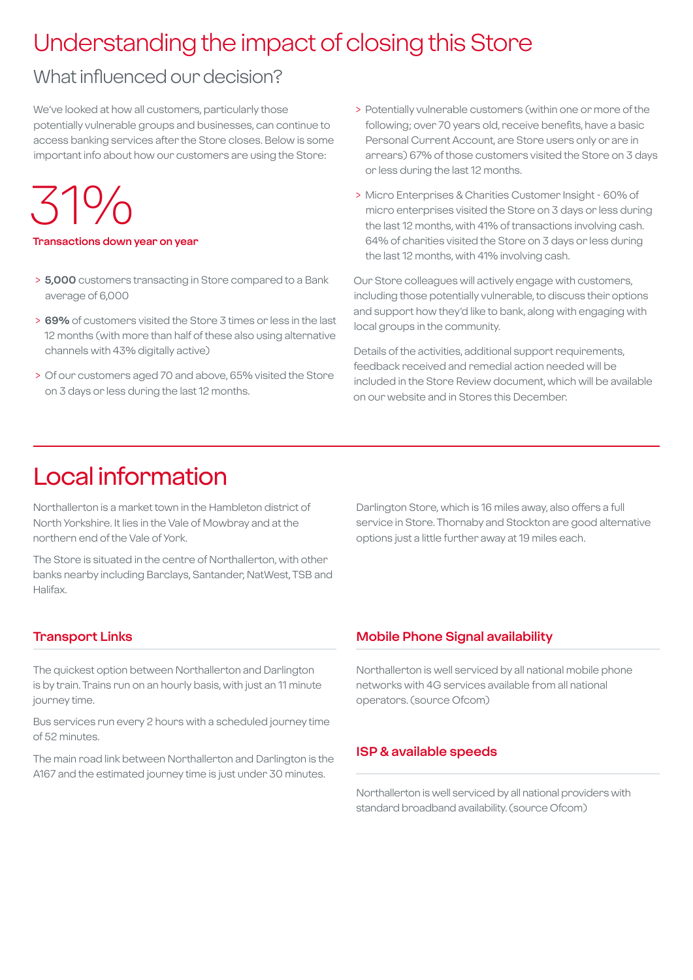# Understanding the impact of closing this Store

## What influenced our decision?

We've looked at how all customers, particularly those potentially vulnerable groups and businesses, can continue to access banking services after the Store closes. Below is some important info about how our customers are using the Store:

# 31%

#### **Transactions down year on year**

- > **5,000** customers transacting in Store compared to a Bank average of 6,000
- > **69%** of customers visited the Store 3 times or less in the last 12 months (with more than half of these also using alternative channels with 43% digitally active)
- > Of our customers aged 70 and above, 65% visited the Store on 3 days or less during the last 12 months.
- > Potentially vulnerable customers (within one or more of the following; over 70 years old, receive benefits, have a basic Personal Current Account, are Store users only or are in arrears) 67% of those customers visited the Store on 3 days or less during the last 12 months.
- > Micro Enterprises & Charities Customer Insight 60% of micro enterprises visited the Store on 3 days or less during the last 12 months, with 41% of transactions involving cash. 64% of charities visited the Store on 3 days or less during the last 12 months, with 41% involving cash.

Our Store colleagues will actively engage with customers, including those potentially vulnerable, to discuss their options and support how they'd like to bank, along with engaging with local groups in the community.

Details of the activities, additional support requirements, feedback received and remedial action needed will be included in the Store Review document, which will be available on our website and in Stores this December.

## Local information

Northallerton is a market town in the Hambleton district of North Yorkshire. It lies in the Vale of Mowbray and at the northern end of the Vale of York.

The Store is situated in the centre of Northallerton, with other banks nearby including Barclays, Santander, NatWest, TSB and Halifax.

Darlington Store, which is 16 miles away, also offers a full service in Store. Thornaby and Stockton are good alternative options just a little further away at 19 miles each.

#### **Transport Links**

The quickest option between Northallerton and Darlington is by train. Trains run on an hourly basis, with just an 11 minute journey time.

Bus services run every 2 hours with a scheduled journey time of 52 minutes.

The main road link between Northallerton and Darlington is the A167 and the estimated journey time is just under 30 minutes.

#### **Mobile Phone Signal availability**

Northallerton is well serviced by all national mobile phone networks with 4G services available from all national operators. (source Ofcom)

#### **ISP & available speeds**

Northallerton is well serviced by all national providers with standard broadband availability. (source Ofcom)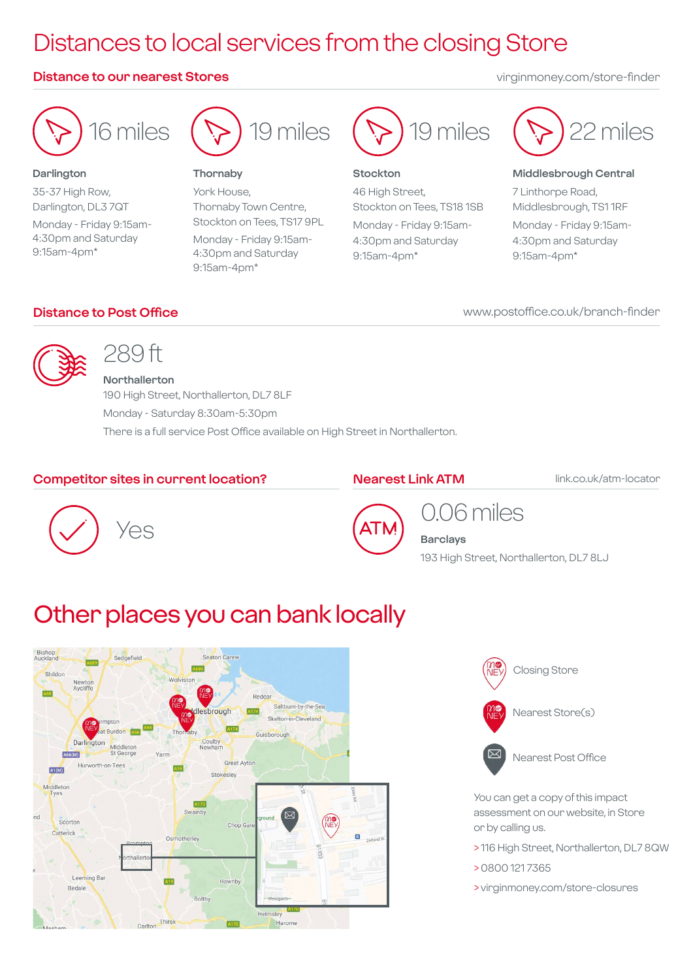# Distances to local services from the closing Store

#### **Distance to our nearest Stores** virginmoney.com/store-finder



#### **Darlington**

35-37 High Row, Darlington, DL3 7QT Monday - Friday 9:15am-4:30pm and Saturday 9:15am-4pm\*



#### **Thornaby**

York House, Thornaby Town Centre, Stockton on Tees, TS17 9PL Monday - Friday 9:15am-4:30pm and Saturday 9:15am-4pm\*



#### **Stockton**

46 High Street, Stockton on Tees, TS18 1SB Monday - Friday 9:15am-4:30pm and Saturday 9:15am-4pm\*



#### **Middlesbrough Central**

7 Linthorpe Road, Middlesbrough, TS1 1RF Monday - Friday 9:15am-4:30pm and Saturday 9:15am-4pm\*

#### **Distance to Post Office**

#### www.postoffice.co.uk/branch-finder



## 289 ft

**Northallerton** 190 High Street, Northallerton, DL7 8LF Monday - Saturday 8:30am-5:30pm There is a full service Post Office available on High Street in Northallerton.

#### **Competitor sites in current location?**

#### **Nearest Link ATM**

link.co.uk/atm-locator





# 0.06 miles

**Barclays** 193 High Street, Northallerton, DL7 8LJ

# Other places you can bank locally





You can get a copy of this impact assessment on our website, in Store or by calling us.

- > 116 High Street, Northallerton, DL7 8QW
- > 0800 121 7365
- > virginmoney.com/store-closures